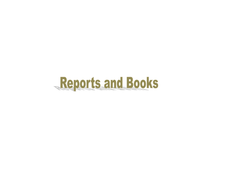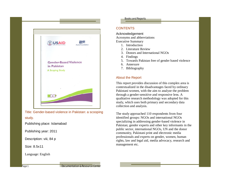

Title: Gender-based violence in Pakistan: a scooping study. Publishing place: Islamabad

Publishing year: 2011

Description: viii, 84 p

Size: 8.5x11

Language: English

Books and Reports

# **CONTENTS**

Acknowledgement Acronyms and abbreviations Executive Summary

- 1. Introduction
- 2. Literature Review
- 3. Donors and International NGOs
- 4. Findings
- 5. Towards Pakistan free of gender based violence
- 6. Annexure
- 7. Bibliography

# About the Report

This report provides discussion of this complex area is contextualized in the disadvantages faced by ordinary Pakistani women, with the aim to analyze the problem through a gender-sensitive and responsive lens. A qualitative research methodology was adopted for this study, which uses both primary and secondary data collection and analysis.

The study approached 110 respondents from four identified groups: NGOs and international NGOs specializing in addressing gender-based violence in Pakistan; gender experts and other key informants in the public sector, international NGOs, UN and the donor community, Pakistani print and electronic media professionals and experts on gender, women, human rights, law and legal aid, media advocacy, research and management etc.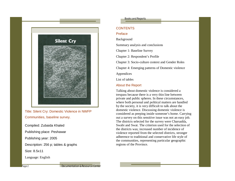

Title: Silent Cry: Domestic Violence in NWFP Communities, baseline survey.

Compiled: Zubaida Khaled Publishing place: Peshawar Publishing year: 2005 Description: 256 p; tables & graphs Size: 8.5x11 Language: English

#### Books and Reports

# **CONTENTS**

#### Preface

Background

Summary analysis and conclusions

Chapter 1: Baseline Survey

Chapter 2: Respondent's Profile

Chapter 3: Socio-culture context and Gender Roles

Chapter 4: Emerging patterns of Domestic violence

Appendices

List of tables

#### About the Report

Talking about domestic violence is considered a trespass because there is a very thin line between private and public spheres. In these circumstances, where both personal and political matters are handled by the society, it is very difficult to talk about the domestic violence. Discussing domestic violence is considered as peeping inside someone's home. Carrying out a survey on this sensitive issue was not an easy job. The districts selected for the survey were Charsadda, Swabi and Swat. The criterion used for the selection of the districts was; increased number of incidence of violence reported from the selected districts, stronger adherence to traditional and conservative life style of the communities, representing particular geographic regions of the Province.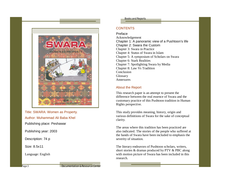

Title: SWARA: Women as Property. Author: Muhammad Ali Baba Khel Publishing place: Peshawar Publishing year: 2003 Description: 74 p

Size: 8.5x11

Language: English

#### Books and Reports

## **CONTENTS**

#### Preface

Acknowledgement Chapter 1: A panoramic view of a Pushtoon's life Chapter 2: Swara the Custom Chapter 3: Swara in Practice Chapter 4: Status of Swara in Islam Chapter 5: A symposium of Scholars on Swara Chapter 6: Stark Realities Chapter 7: Spotlighting Swara by Media Chapter 8: Law Vs Tradition **Conclusion** Glossary Annexures

## About the Report

This research paper is an attempt to present the difference between the real essence of Swara and the customary practice of this Pushtoon tradition in Human Rights perspective.

This study provides meaning, history, origin and various definitions of Swara for the sake of conceptual clarity.

The areas where this tradition has been practiced are also indicated. The stories of the people who suffered at the hands of Swara have been included to emphasis the severity of situation.

The literary endeavors of Pushtoon scholars, writers, short stories & dramas produced by PTV & PBC along with motion picture of Swara has been included in this research.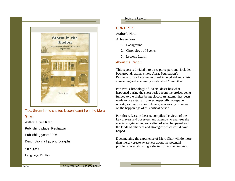

Title: Strom in the shelter: lesson learnt from the Mera Ghar.

Author: Uzma Khan

Publishing place: Peshawar

Publishing year: 2006

Description: 71 p; photographs

Size: 6x9

Language: English

#### Books and Reports

# **CONTENTS**

#### Author's Note

Abbreviations

- 1. Background
- 2. Chronology of Events
- 3. Lessons Learnt

# About the Report

This report is divided into three parts, part one includes background, explains how Aurat Foundation's Peshawar office became involved in legal aid and crisis counseling and eventually established Mera Ghar.

Part two, Chronology of Events, describes what happened during the short period from the project being funded to the shelter being closed. As attempt has been made to use external sources, especially newspaper reports, as much as possible to give a variety of views on the happenings of this critical period.

Part three, Lessons Learnt, compiles the views of the key players and observers and attempts to analyses the events to gain an understanding of what happened and the kinds of alliances and strategies which could have helped.

Documenting the experience of Mera Ghar will do more than merely create awareness about the potential problems in establishing a shelter for women in crisis.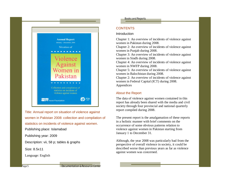

Title: Annual report on situation of violence against women in Pakistan 2008: collection and compilation of statistics on incidents of violence against women. Publishing place: Islamabad

Publishing year: 2009

Description: vii, 58 p; tables & graphs

Size: 8.5x11

Language: English

Books and Reports

# **CONTENTS**

#### Introduction

Chapter 1: An overview of incidents of violence against women in Pakistan during 2008.

Chapter 2: An overview of incidents of violence against women in Punjab during 2008.

Chapter 3: An overview of incidents of violence against women in Sindh during 2008.

Chapter 4: An overview of incidents of violence against women in NWFP during 2008.

Chapter 5: An overview of incidents of violence against women in Balochistan during 2008.

Chapter 2: An overview of incidents of violence against women in Federal Capital (ICT) during 2008. Appendices

# About the Report

The data of violence against women contained in this report has already been shared with the media and civil society through four provincial and national quarterly report compiled during 2008.

The present report is the amalgamation of these reports in a holistic manner with brief comments on the occurrence of some obvious patterns relation to violence against women in Pakistan starting from January 1 to December 31.

Although, the year 2008 was particularly bad from the perspective of overall violence in society, it could be described worse than previous years as far as violence against women was concerned.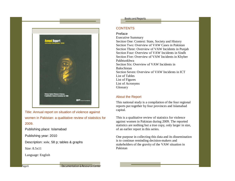

Title: Annual report on situation of violence against women in Pakistan: a qualitative review of statistics for 2009. Publishing place: Islamabad Publishing year: 2010

Description: xxiv, 58 p; tables & graphs

Size: 8.5x11

Language: English

#### Books and Reports

## **CONTENTS**

#### Preface

Executive Summary Section One: Context: State, Society and History Section Two: Overview of VAW Cases in Pakistan Section Three: Overview of VAW Incidents in Punjab Section Four: Overview of VAW Incidents in Sindh Section Five: Overview of VAW Incidents in Khyber Pakhtunkhwa Section Six: Overview of VAW Incidents in Balochistan Section Seven: Overview of VAW Incidents in ICT List of Tables List of Figures List of Acronyms Glossary

# About the Report

This national study is a compilation of the four regional reports put together by four provinces and Islamabad capital.

This is a qualitative review of statistics for violence against women in Pakistan during 2009. The reported statistics are nothing but a true copy, only larger in size, of an earlier report in this series.

One purpose in collecting this data and its dissemination is to continue reminding decision-makers and stakeholders of the gravity of the VAW situation in Pakistan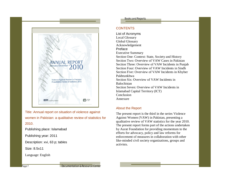

Title: Annual report on situation of violence against women in Pakistan: a qualitative review of statistics for 2010.

Publishing place: Islamabad

Publishing year: 2011

Description: xvi, 63 p; tables

Size: 8.5x11

Language: English

#### Books and Reports

## **CONTENTS**

List of Acronyms Local Glossary Global Glossary Acknowledgement Preface Executive Summary Section One: Context: State, Society and History Section Two: Overview of VAW Cases in Pakistan Section Three: Overview of VAW Incidents in Punjab Section Four: Overview of VAW Incidents in Sindh Section Five: Overview of VAW Incidents in Khyber Pakhtunkhwa Section Six: Overview of VAW Incidents in Balochistan Section Seven: Overview of VAW Incidents in Islamabad Capital Territory (ICT) **Conclusion** Annexure

## About the Report

The present report is the third in the series Violence Against Women (VAW) in Pakistan, presenting a qualitative review of VAW statistics for the year 2010. The present report forms part of the actions undertaken by Aurat Foundation for providing momentum to the efforts for advocacy, policy and law reforms for enforcement of measures in collaboration with other like-minded civil society organizations, groups and activists.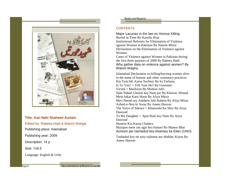

# **Title: Kari Nahi Shaheed Aurtain** Edited by: Rabeea Hadi & Wasim Wahga. Publishing place: Islamabad Publishing year: 2009

Description: 74 p

Size: 7x9.5

Language: English & Urdu

Books and Reports

# **CONTENTS**

Major Lacunas in the law on Honour Killing Buried in Time By Kamila Hyat Institutional Reforms for Elimination of Violence against Women in Pakistan By Naeem Mirza Declaration on the Elimination of Violence against Women.

Cases of Violence against Women in Pakistan during the first three quarters of 2008 By Rabeea Hadi. Why gather data on violence against women? By Wasim Wagha.

Islamabad Declaration on killing/burying women alive in the name of honour and other customary practices. Kia Tum bhi Ayesa Sochtay Ho by Farhana Is To You?  $=$  Yeh Tum Ho? By Gumnam Victim = Mazloom By Mohsin Jafri Nam Nahad Ghairat key Nam per By Khawar Ahmad. Mein Inkar Karti Hoon By Aliya Mirza Meri Neend sey Ankhein Jalti Rahein By Aliya Miraz Ayhed-e-Nou ki Awaz By Anees Haroon The Voice of Silence = Khamoshi Ka Shor By Atiya Dawood To My Daughter  $=$  Apni Baiti key Nam By Atiya Dawood Hamein Kia Karna Chahiey Mazajon mein yas agai hey hamari By Manoo Bhai Aurtoon per tashadud key khatmey ka Eilan (UNO)

Tashadud key nit naiy rujhanat aur shiddat: Kiyon By Anees Haroon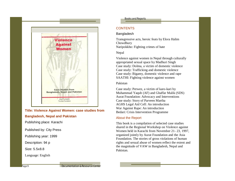

**Title: Violence Against Women: case studies from Bangladesh, Nepal and Pakistan** Publishing place: Karachi

Published by: City Press

Publishing year: 1999

Description: 94 p

Size: 5.5x8.8

Language: English

Books and Reports

# **CONTENTS**

#### Bangladesh

Transgressive acts, heroic feats by Elora Halim Chowdhury Naripokkho: Fighting crimes of hate

#### Nepal

Violence against women in Nepal through culturally appropriated sexual space by Madhuri Singh Case study: Dolma, a victim of domestic violence Case study: Trafficking and domestic violence Case study: Bigamy, domestic violence and rape SAATHI: Fighting violence against women

#### Pakistan

Case study: Perwez, a victim of karo-kari by Muhammad Yaqub (AF) and Ghaffar Malik (SDS) Aurat Foundation: Advocacy and Interventions Case study: Story of Parveen Martha AGHS Legal Aid Cell: An introduction War Against Rape: An introduction Bedari: Crisis Intervention Programme

## About the Report

This book is a compilation of selected case studies shared in the Regional Workshop on Violence against Women held in Karachi from November 21- 23, 1997, organized jointly by Aurat Foundation and the Asia Foundation. The stories of gross violations of human rights and sexual abuse of women reflect the extent and the magnitude of VAW in Bangladesh, Nepal and Pakistan.